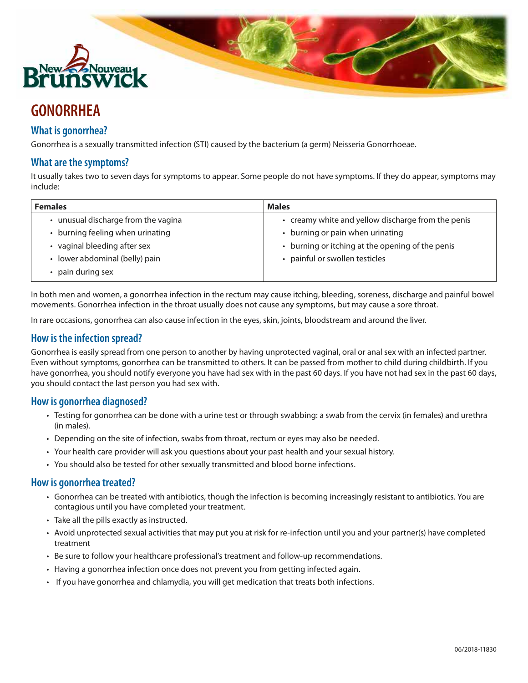

# **GONORRHEA**

# **What is gonorrhea?**

Gonorrhea is a sexually transmitted infection (STI) caused by the bacterium (a germ) Neisseria Gonorrhoeae.

## **What are the symptoms?**

It usually takes two to seven days for symptoms to appear. Some people do not have symptoms. If they do appear, symptoms may include:

| <b>Females</b>                    | <b>Males</b>                                       |
|-----------------------------------|----------------------------------------------------|
| unusual discharge from the vagina | • creamy white and yellow discharge from the penis |
| burning feeling when urinating    | • burning or pain when urinating                   |
| • vaginal bleeding after sex      | • burning or itching at the opening of the penis   |
| lower abdominal (belly) pain      | • painful or swollen testicles                     |
| pain during sex                   |                                                    |

In both men and women, a gonorrhea infection in the rectum may cause itching, bleeding, soreness, discharge and painful bowel movements. Gonorrhea infection in the throat usually does not cause any symptoms, but may cause a sore throat.

In rare occasions, gonorrhea can also cause infection in the eyes, skin, joints, bloodstream and around the liver.

### **How is the infection spread?**

Gonorrhea is easily spread from one person to another by having unprotected vaginal, oral or anal sex with an infected partner. Even without symptoms, gonorrhea can be transmitted to others. It can be passed from mother to child during childbirth. If you have gonorrhea, you should notify everyone you have had sex with in the past 60 days. If you have not had sex in the past 60 days, you should contact the last person you had sex with.

### **How is gonorrhea diagnosed?**

- • Testing for gonorrhea can be done with a urine test or through swabbing: a swab from the cervix (in females) and urethra (in males).
- • Depending on the site of infection, swabs from throat, rectum or eyes may also be needed.
- • Your health care provider will ask you questions about your past health and your sexual history.
- • You should also be tested for other sexually transmitted and blood borne infections.

#### **How is gonorrhea treated?**

- • Gonorrhea can be treated with antibiotics, though the infection is becoming increasingly resistant to antibiotics. You are contagious until you have completed your treatment.
- Take all the pills exactly as instructed.
- • Avoid unprotected sexual activities that may put you at risk for re-infection until you and your partner(s) have completed treatment
- • Be sure to follow your healthcare professional's treatment and follow-up recommendations.
- Having a gonorrhea infection once does not prevent you from getting infected again.
- • If you have gonorrhea and chlamydia, you will get medication that treats both infections.